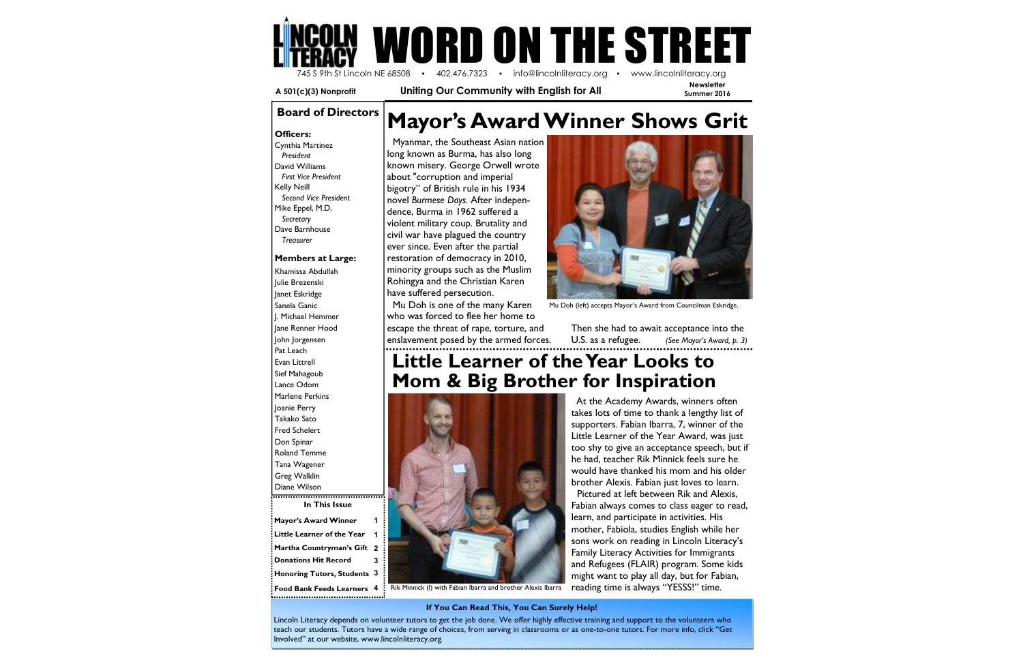**Newsletter** 

**Mayor's Award Winner Little Learner of the Year Martha Countryman's Gift 2 Donations Hit Record Honoring Tutors, Students <sup>3</sup> Food Bank Feeds Learners 4** 



 **A 501(c)(3) Nonprofit Uniting Our Community with English for All** 

# **Board of Directors | Mayor's Award Winner Shows Grit**

**In This Issue** Khamissa Abdullah Julie Brezenski Janet Eskridge Sanela Ganic J. Michael Hemmer Jane Renner Hood John Jorgensen Pat Leach Evan Littrell Sief Mahagoub Lance Odom Marlene Perkins Joanie Perry Takako Sato Fred Schelert Don Spinar Roland Temme Tana Wagener Greg Walklin Diane Wilson

 Cynthia Martinez  *President*  David Williams *First Vice President* Kelly Neill *Second Vice President*Mike Eppel, M.D. *Secretary* Dave Barnhouse *Treasurer*

#### **Members at Large:**



 Myanmar, the Southeast Asian nation long known as Burma, has also long known misery. George Orwell wrote about "corruption and imperial bigotry" of British rule in his 1934 novel *Burmese Days.* After independence, Burma in 1962 suffered a violent military coup. Brutality and civil war have plagued the country ever since. Even after the partial restoration of democracy in 2010, minority groups such as the Muslim Rohingya and the Christian Karen have suffered persecution.

 Mu Doh is one of the many Karen who was forced to flee her home to escape the threat of rape, torture, and enslavement posed by the armed forces.

#### **If You Can Read This, You Can Surely Help!**

Lincoln Literacy depends on volunteer tutors to get the job done. We offer highly effective training and support to the volunteers who teach our students. Tutors have a wide range of choices, from serving in classrooms or as one-to-one tutors. For more info, click "Get Involved" at our website, www.lincolnliteracy.org.

### **Little Learner of the Year Looks to Mom & Big Brother for Inspiration**



Rik Minnick (I) with Fabian Ibarra and brother Alexis Ibarra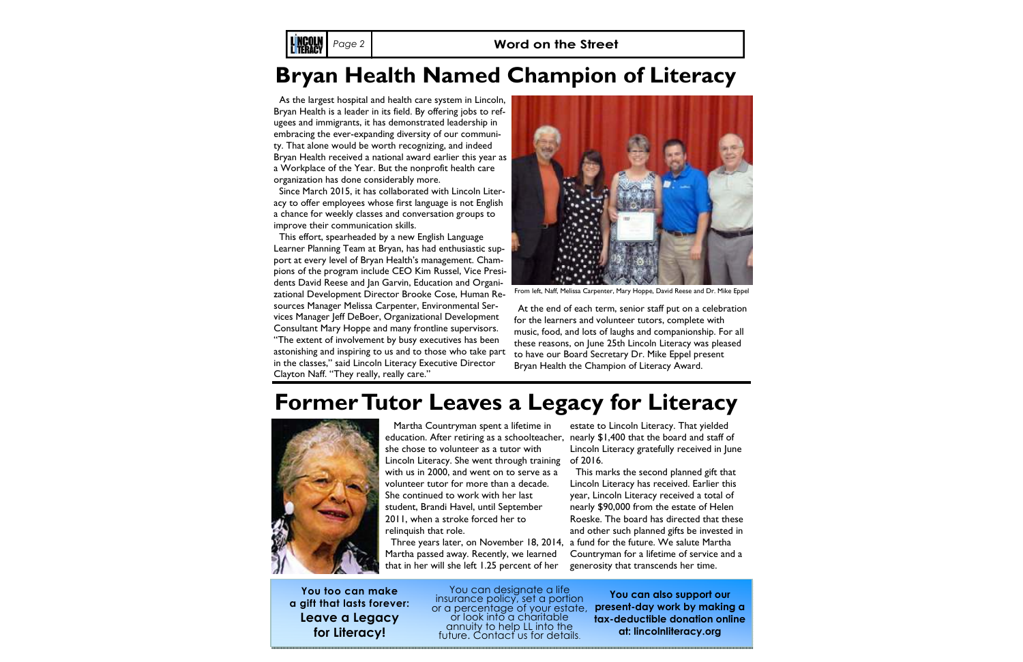Martha Countryman spent a lifetime in she chose to volunteer as a tutor with Lincoln Literacy. She went through training with us in 2000, and went on to serve as a volunteer tutor for more than a decade. She continued to work with her last student, Brandi Havel, until September 2011, when a stroke forced her to relinquish that role.

Martha passed away. Recently, we learned that in her will she left 1.25 percent of her

At the end of each term, senior staff put on a celebration for the learners and volunteer tutors, complete with music, food, and lots of laughs and companionship. For all these reasons, on June 25th Lincoln Literacy was pleased to have our Board Secretary Dr. Mike Eppel present Bryan Health the Champion of Literacy Award. education. After retiring as a schoolteacher, nearly \$1,400 that the board and staff of Three years later, on November 18, 2014, a fund for the future. We salute Martha estate to Lincoln Literacy. That yielded Lincoln Literacy gratefully received in June of 2016. This marks the second planned gift that Lincoln Literacy has received. Earlier this year, Lincoln Literacy received a total of nearly \$90,000 from the estate of Helen Roeske. The board has directed that these and other such planned gifts be invested in Countryman for a lifetime of service and a generosity that transcends her time. **You can also support our present-day work by making a tax-deductible donation online** From left, Naff, Melissa Carpenter, Mary Hoppe, David Reese and Dr. Mike Eppel

## **Bryan Health Named Champion of Literacy**

## **Former Tutor Leaves a Legacy for Literacy**



**You too can make a gift that lasts forever: Leave a Legacy for Literacy!** 

You can designate a life<br>insurance policy, set a portion<br>or a percentage of your estate,<br>or look into a charitable annuity to help LL into the future. Contact us for details.

**at: lincolnliteracy.org** 

As the largest hospital and health care system in Lincoln, Bryan Health is a leader in its field. By offering jobs to refugees and immigrants, it has demonstrated leadership in embracing the ever-expanding diversity of our community. That alone would be worth recognizing, and indeed Bryan Health received a national award earlier this year as a Workplace of the Year. But the nonprofit health care organization has done considerably more.

L NCOLN

 Since March 2015, it has collaborated with Lincoln Literacy to offer employees whose first language is not English a chance for weekly classes and conversation groups to improve their communication skills.

 This effort, spearheaded by a new English Language Learner Planning Team at Bryan, has had enthusiastic support at every level of Bryan Health's management. Champions of the program include CEO Kim Russel, Vice Presidents David Reese and Jan Garvin, Education and Organizational Development Director Brooke Cose, Human Resources Manager Melissa Carpenter, Environmental Services Manager Jeff DeBoer, Organizational Development Consultant Mary Hoppe and many frontline supervisors. "The extent of involvement by busy executives has been astonishing and inspiring to us and to those who take part in the classes," said Lincoln Literacy Executive Director Clayton Naff. "They really, really care."

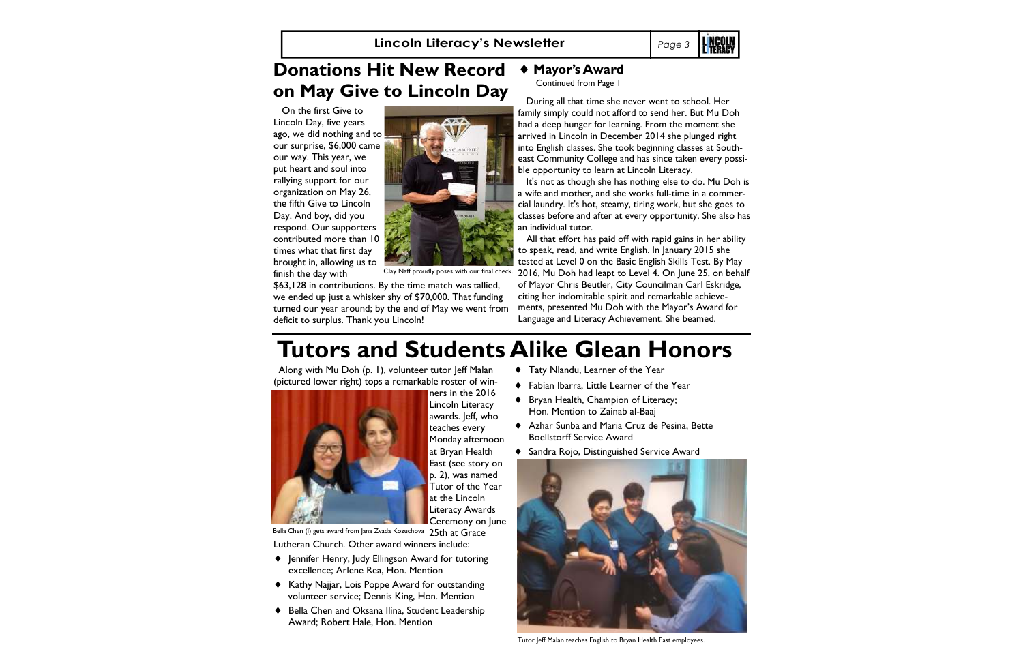#### ♦ **Mayor's Award**

Continued from Page 1

 During all that time she never went to school. Her family simply could not afford to send her. But Mu Doh had a deep hunger for learning. From the moment she arrived in Lincoln in December 2014 she plunged right into English classes. She took beginning classes at Southeast Community College and has since taken every possible opportunity to learn at Lincoln Literacy.

It's not as though she has nothing else to do. Mu Doh is a wife and mother, and she works full-time in a commercial laundry. It's hot, steamy, tiring work, but she goes to classes before and after at every opportunity. She also has an individual tutor.

Along with Mu Doh (p. 1), volunteer tutor Jeff Malan (pictured lower right) tops a remarkable roster of win-



 All that effort has paid off with rapid gains in her ability to speak, read, and write English. In January 2015 she tested at Level 0 on the Basic English Skills Test. By May 2016, Mu Doh had leapt to Level 4. On June 25, on behalf of Mayor Chris Beutler, City Councilman Carl Eskridge, citing her indomitable spirit and remarkable achievements, presented Mu Doh with the Mayor's Award for Language and Literacy Achievement. She beamed.

### **Tutors and Students Alike Glean Honors**

- ♦ Taty Nlandu, Learner of the Year
- ♦ Fabian Ibarra, Little Learner of the Year
- ♦ Bryan Health, Champion of Literacy; Hon. Mention to Zainab al-Baaj
- ♦ Azhar Sunba and Maria Cruz de Pesina, Bette Boellstorff Service Award
- ♦ Sandra Rojo, Distinguished Service Award

ners in the 2016 Lincoln Literacy awards. Jeff, who teaches every Monday afternoon at Bryan Health East (see story on p. 2), was named Tutor of the Year at the Lincoln

Literacy Awards Ceremony on June Bella Chen (I) gets award from Jana Zvada Kozuchova  $\,$  25th  $\,$ at  $\,$  G $\,$ r $\,$ a $\,$ c $\,$ e  $\,$ Lutheran Church. Other award winners include:

- ♦ Jennifer Henry, Judy Ellingson Award for tutoring excellence; Arlene Rea, Hon. Mention
- ♦ Kathy Najjar, Lois Poppe Award for outstanding volunteer service; Dennis King, Hon. Mention
- Bella Chen and Oksana Ilina, Student Leadership Award; Robert Hale, Hon. Mention

#### **Donations Hit New Record on May Give to Lincoln Day**

 On the first Give to Lincoln Day, five years ago, we did nothing and to  $\vert$ our surprise, \$6,000 came our way. This year, we put heart and soul into rallying support for our organization on May 26, the fifth Give to Lincoln Day. And boy, did you respond. Our supporters contributed more than 10 times what that first day brought in, allowing us to finish the day with

 \$63,128 in contributions. By the time match was tallied, we ended up just a whisker shy of \$70,000. That funding turned our year around; by the end of May we went from deficit to surplus. Thank you Lincoln!



Clay Naff proudly poses with our final check.



Tutor Jeff Malan teaches English to Bryan Health East employees.